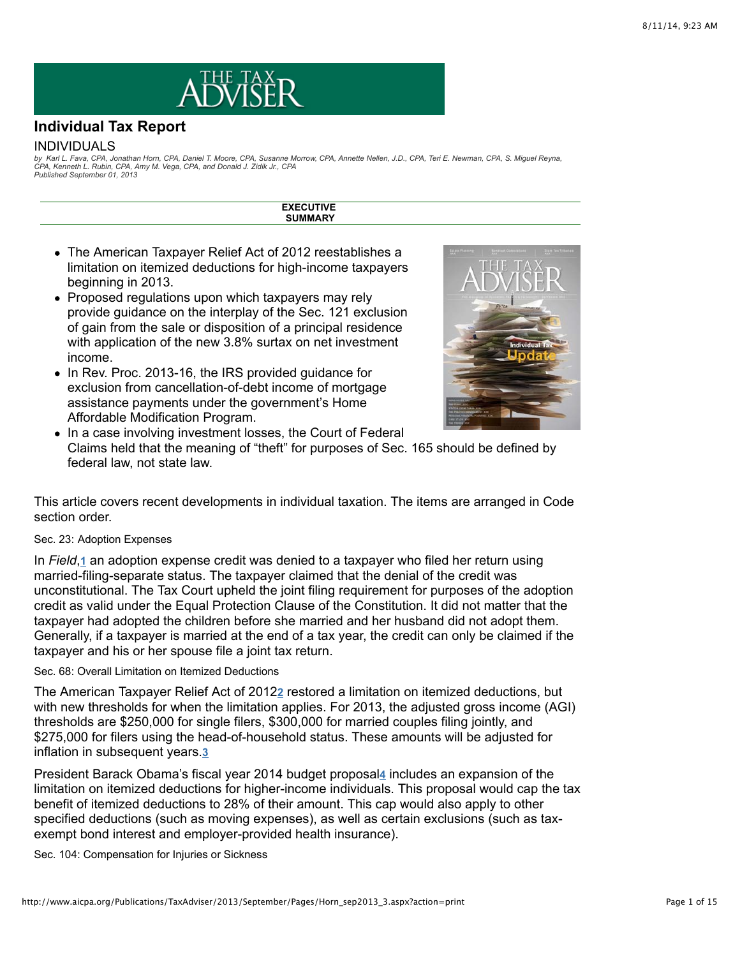

# **Individual Tax Report**

#### INDIVIDUALS

by Karl L. Fava, CPA, Jonathan Horn, CPA, Daniel T. Moore, CPA, Susanne Morrow, CPA, Annette Nellen, J.D., CPA, Teri E. Newman, CPA, S. Miguel Reyna,<br>CPA, Kenneth L. Rubin, CPA, Amy M. Vega, CPA, and Donald J. Zidik Jr., C *Published September 01, 2013*

> **EXECUTIVE SUMMARY**

- The American Taxpayer Relief Act of 2012 reestablishes a limitation on itemized deductions for high-income taxpayers beginning in 2013.
- Proposed regulations upon which taxpayers may rely provide guidance on the interplay of the Sec. 121 exclusion of gain from the sale or disposition of a principal residence with application of the new 3.8% surtax on net investment income.
- In Rev. Proc. 2013-16, the IRS provided guidance for exclusion from cancellation-of-debt income of mortgage assistance payments under the government's Home Affordable Modification Program.



• In a case involving investment losses, the Court of Federal Claims held that the meaning of "theft" for purposes of Sec. 165 should be defined by federal law, not state law.

This article covers recent developments in individual taxation. The items are arranged in Code section order.

#### Sec. 23: Adoption Expenses

In Field,<sub>[1](http://www.aicpa.org/Publications/TaxAdviser/2013/September/Pages/Horn_sep2013_3.aspx?action=print#fn_1)</sub> an adoption expense credit was denied to a taxpayer who filed her return using married-filing-separate status. The taxpayer claimed that the denial of the credit was unconstitutional. The Tax Court upheld the joint filing requirement for purposes of the adoption credit as valid under the Equal Protection Clause of the Constitution. It did not matter that the taxpayer had adopted the children before she married and her husband did not adopt them. Generally, if a taxpayer is married at the end of a tax year, the credit can only be claimed if the taxpayer and his or her spouse file a joint tax return.

### Sec. 68: Overall Limitation on Itemized Deductions

The American Taxpayer Relief Act of 2012<sup>2</sup> restored a limitation on itemized deductions, but with new thresholds for when the limitation applies. For 2013, the adjusted gross income (AGI) thresholds are \$250,000 for single filers, \$300,000 for married couples filing jointly, and \$275,000 for filers using the head-of-household status. These amounts will be adjusted for inflation in subsequent years. **[3](http://www.aicpa.org/Publications/TaxAdviser/2013/September/Pages/Horn_sep2013_3.aspx?action=print#fn_3)**

President Barack Obama's fisca[l](http://www.aicpa.org/Publications/TaxAdviser/2013/September/Pages/Horn_sep2013_3.aspx?action=print#fn_4) year 2014 budget proposal4 includes an expansion of the limitation on itemized deductions for higher-income individuals. This proposal would cap the tax benefit of itemized deductions to 28% of their amount. This cap would also apply to other specified deductions (such as moving expenses), as well as certain exclusions (such as taxexempt bond interest and employer-provided health insurance).

Sec. 104: Compensation for Injuries or Sickness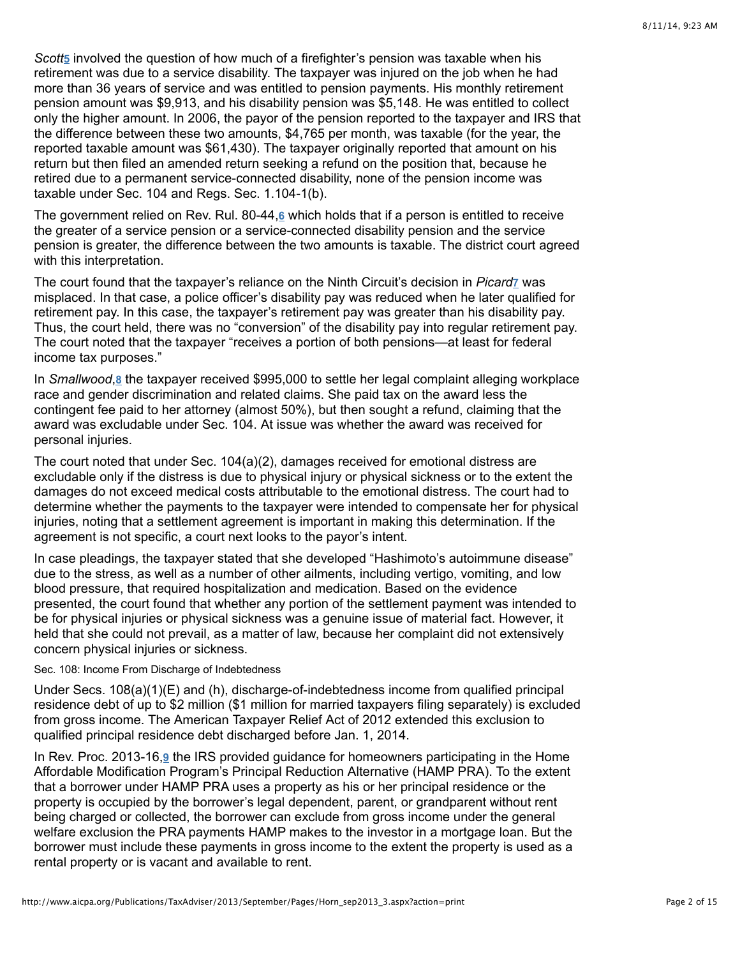Scott<sub>[5](http://www.aicpa.org/Publications/TaxAdviser/2013/September/Pages/Horn_sep2013_3.aspx?action=print#fn_5)</sub> involved the question of how much of a firefighter's pension was taxable when his retirement was due to a service disability. The taxpayer was injured on the job when he had more than 36 years of service and was entitled to pension payments. His monthly retirement pension amount was \$9,913, and his disability pension was \$5,148. He was entitled to collect only the higher amount. In 2006, the payor of the pension reported to the taxpayer and IRS that the difference between these two amounts, \$4,765 per month, was taxable (for the year, the reported taxable amount was \$61,430). The taxpayer originally reported that amount on his return but then filed an amended return seeking a refund on the position that, because he retired due to a permanent service-connected disability, none of the pension income was taxable under Sec. 104 and Regs. Sec. 1.104-1(b).

The government relied on Rev. Rul. 80-44,<u>6</u> which holds that if a person is entitled to receive the greater of a service pension or a service-connected disability pension and the service pension is greater, the difference between the two amounts is taxable. The district court agreed with this interpretation.

The court found that the taxpayer's reliance on the Ninth Circuit's decision in *Picard*<sub>Z</sub> was misplaced. In that case, a police officer's disability pay was reduced when he later qualified for retirement pay. In this case, the taxpayer's retirement pay was greater than his disability pay. Thus, the court held, there was no "conversion" of the disability pay into regular retirement pay. The court noted that the taxpayer "receives a portion of both pensions—at least for federal income tax purposes."

InSmallwood, 8 the taxpayer received \$995,000 to settle her legal complaint alleging workplace race and gender discrimination and related claims. She paid tax on the award less the contingent fee paid to her attorney (almost 50%), but then sought a refund, claiming that the award was excludable under Sec. 104. At issue was whether the award was received for personal injuries.

The court noted that under Sec. 104(a)(2), damages received for emotional distress are excludable only if the distress is due to physical injury or physical sickness or to the extent the damages do not exceed medical costs attributable to the emotional distress. The court had to determine whether the payments to the taxpayer were intended to compensate her for physical injuries, noting that a settlement agreement is important in making this determination. If the agreement is not specific, a court next looks to the payor's intent.

In case pleadings, the taxpayer stated that she developed "Hashimoto's autoimmune disease" due to the stress, as well as a number of other ailments, including vertigo, vomiting, and low blood pressure, that required hospitalization and medication. Based on the evidence presented, the court found that whether any portion of the settlement payment was intended to be for physical injuries or physical sickness was a genuine issue of material fact. However, it held that she could not prevail, as a matter of law, because her complaint did not extensively concern physical injuries or sickness.

#### Sec. 108: Income From Discharge of Indebtedness

Under Secs. 108(a)(1)(E) and (h), discharge-of-indebtedness income from qualified principal residence debt of up to \$2 million (\$1 million for married taxpayers filing separately) is excluded from gross income. The American Taxpayer Relief Act of 2012 extended this exclusion to qualified principal residence debt discharged before Jan. 1, 2014.

InRev. Proc. 2013-16,<sup>9</sup> the IRS provided guidance for homeowners participating in the Home Affordable Modification Program's Principal Reduction Alternative (HAMP PRA). To the extent that a borrower under HAMP PRA uses a property as his or her principal residence or the property is occupied by the borrower's legal dependent, parent, or grandparent without rent being charged or collected, the borrower can exclude from gross income under the general welfare exclusion the PRA payments HAMP makes to the investor in a mortgage loan. But the borrower must include these payments in gross income to the extent the property is used as a rental property or is vacant and available to rent.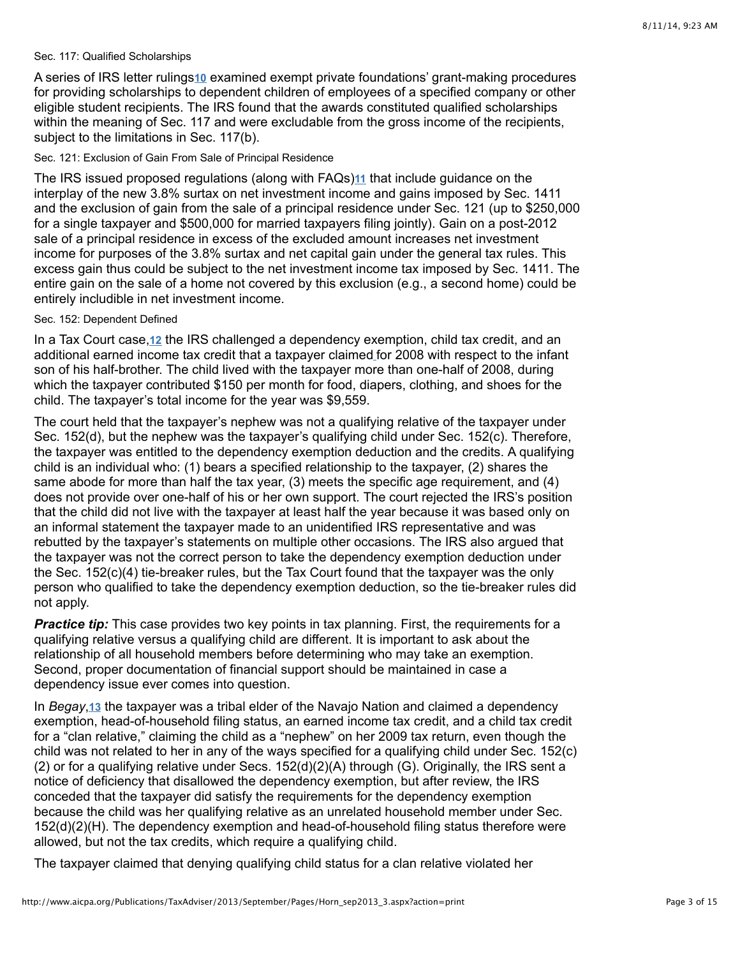#### Sec. 117: Qualified Scholarships

Aseries of IRS letter rulings10 examined exempt private foundations' grant-making procedures for providing scholarships to dependent children of employees of a specified company or other eligible student recipients. The IRS found that the awards constituted qualified scholarships within the meaning of Sec. 117 and were excludable from the gross income of the recipients, subject to the limitations in Sec. 117(b).

#### Sec. 121: Exclusion of Gain From Sale of Principal Residence

The IRS issued proposed regulations (along with FAQs[\)](http://www.aicpa.org/Publications/TaxAdviser/2013/September/Pages/Horn_sep2013_3.aspx?action=print#fn_11)<sup>11</sup> that include guidance on the interplay of the new 3.8% surtax on net investment income and gains imposed by Sec. 1411 and the exclusion of gain from the sale of a principal residence under Sec. 121 (up to \$250,000 for a single taxpayer and \$500,000 for married taxpayers filing jointly). Gain on a post-2012 sale of a principal residence in excess of the excluded amount increases net investment income for purposes of the 3.8% surtax and net capital gain under the general tax rules. This excess gain thus could be subject to the net investment income tax imposed by Sec. 1411. The entire gain on the sale of a home not covered by this exclusion (e.g., a second home) could be entirely includible in net investment income.

# Sec. 152: Dependent Defined

In a Tax Court case[,](http://www.aicpa.org/Publications/TaxAdviser/2013/September/Pages/Horn_sep2013_3.aspx?action=print#fn_12) 12 the IRS challenged a dependency exemption, child tax credit, and an additional earned income tax credit that a taxpayer claimed [f](http://www.aicpa.org/Publications/TaxAdviser/2013/September/Pages/Horn_sep2013_3.aspx?action=print#fn_)or 2008 with respect to the infant son of his half-brother. The child lived with the taxpayer more than one-half of 2008, during which the taxpayer contributed \$150 per month for food, diapers, clothing, and shoes for the child. The taxpayer's total income for the year was \$9,559.

The court held that the taxpayer's nephew was not a qualifying relative of the taxpayer under Sec. 152(d), but the nephew was the taxpayer's qualifying child under Sec. 152(c). Therefore, the taxpayer was entitled to the dependency exemption deduction and the credits. A qualifying child is an individual who: (1) bears a specified relationship to the taxpayer, (2) shares the same abode for more than half the tax year, (3) meets the specific age requirement, and (4) does not provide over one-half of his or her own support. The court rejected the IRS's position that the child did not live with the taxpayer at least half the year because it was based only on an informal statement the taxpayer made to an unidentified IRS representative and was rebutted by the taxpayer's statements on multiple other occasions. The IRS also argued that the taxpayer was not the correct person to take the dependency exemption deduction under the Sec. 152(c)(4) tie-breaker rules, but the Tax Court found that the taxpayer was the only person who qualified to take the dependency exemption deduction, so the tie-breaker rules did not apply.

**Practice tip:** This case provides two key points in tax planning. First, the requirements for a qualifying relative versus a qualifying child are different. It is important to ask about the relationship of all household members before determining who may take an exemption. Second, proper documentation of financial support should be maintained in case a dependency issue ever comes into question.

In Begay[,](http://www.aicpa.org/Publications/TaxAdviser/2013/September/Pages/Horn_sep2013_3.aspx?action=print#fn_13) 13 the taxpayer was a tribal elder of the Navajo Nation and claimed a dependency exemption, head-of-household filing status, an earned income tax credit, and a child tax credit for a "clan relative," claiming the child as a "nephew" on her 2009 tax return, even though the child was not related to her in any of the ways specified for a qualifying child under Sec. 152(c) (2) or for a qualifying relative under Secs. 152(d)(2)(A) through (G). Originally, the IRS sent a notice of deficiency that disallowed the dependency exemption, but after review, the IRS conceded that the taxpayer did satisfy the requirements for the dependency exemption because the child was her qualifying relative as an unrelated household member under Sec. 152(d)(2)(H). The dependency exemption and head-of-household filing status therefore were allowed, but not the tax credits, which require a qualifying child.

The taxpayer claimed that denying qualifying child status for a clan relative violated her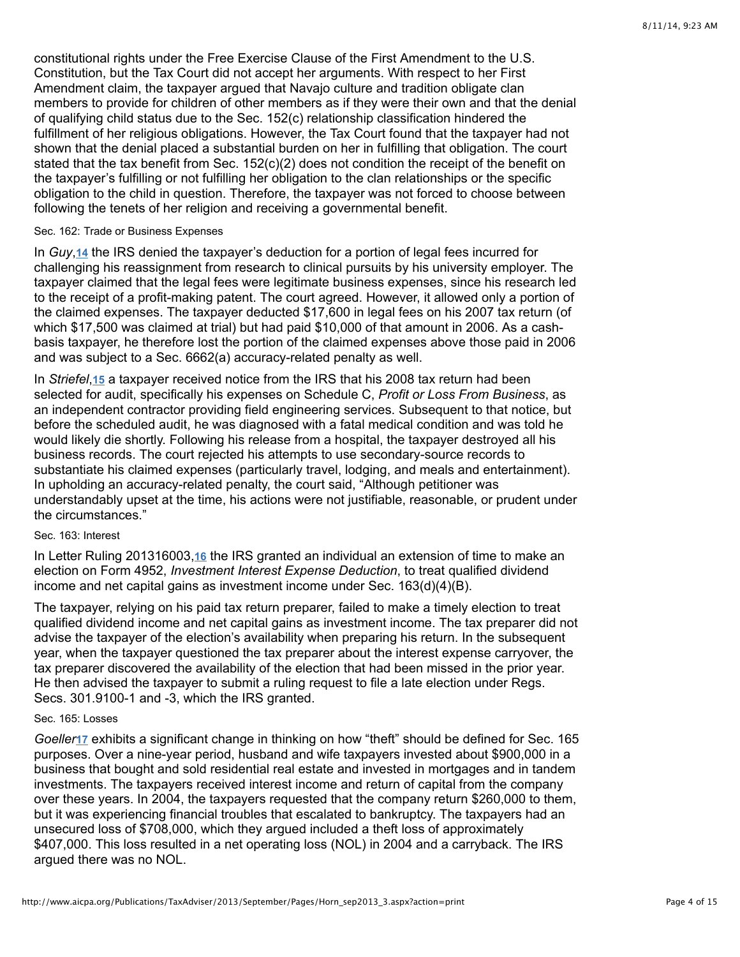constitutional rights under the Free Exercise Clause of the First Amendment to the U.S. Constitution, but the Tax Court did not accept her arguments. With respect to her First Amendment claim, the taxpayer argued that Navajo culture and tradition obligate clan members to provide for children of other members as if they were their own and that the denial of qualifying child status due to the Sec. 152(c) relationship classification hindered the fulfillment of her religious obligations. However, the Tax Court found that the taxpayer had not shown that the denial placed a substantial burden on her in fulfilling that obligation. The court stated that the tax benefit from Sec.  $152(c)(2)$  does not condition the receipt of the benefit on the taxpayer's fulfilling or not fulfilling her obligation to the clan relationships or the specific obligation to the child in question. Therefore, the taxpayer was not forced to choose between following the tenets of her religion and receiving a governmental benefit.

#### Sec. 162: Trade or Business Expenses

In Guy,<sup>[14](http://www.aicpa.org/Publications/TaxAdviser/2013/September/Pages/Horn_sep2013_3.aspx?action=print#fn_14)</sup> the IRS denied the taxpayer's deduction for a portion of legal fees incurred for challenging his reassignment from research to clinical pursuits by his university employer. The taxpayer claimed that the legal fees were legitimate business expenses, since his research led to the receipt of a profit-making patent. The court agreed. However, it allowed only a portion of the claimed expenses. The taxpayer deducted \$17,600 in legal fees on his 2007 tax return (of which \$17,500 was claimed at trial) but had paid \$10,000 of that amount in 2006. As a cashbasis taxpayer, he therefore lost the portion of the claimed expenses above those paid in 2006 and was subject to a Sec. 6662(a) accuracy-related penalty as well.

In Striefel[,](http://www.aicpa.org/Publications/TaxAdviser/2013/September/Pages/Horn_sep2013_3.aspx?action=print#fn_15) 15 a taxpayer received notice from the IRS that his 2008 tax return had been selected for audit, specifically his expenses on Schedule C, *Profit or Loss From Business*, as an independent contractor providing field engineering services. Subsequent to that notice, but before the scheduled audit, he was diagnosed with a fatal medical condition and was told he would likely die shortly. Following his release from a hospital, the taxpayer destroyed all his business records. The court rejected his attempts to use secondary-source records to substantiate his claimed expenses (particularly travel, lodging, and meals and entertainment). In upholding an accuracy-related penalty, the court said, "Although petitioner was understandably upset at the time, his actions were not justifiable, reasonable, or prudent under the circumstances."

# Sec. 163: Interest

InLetter Ruling 201316003,16 the IRS granted an individual an extension of time to make an election on Form 4952, *Investment Interest Expense Deduction*, to treat qualified dividend income and net capital gains as investment income under Sec. 163(d)(4)(B).

The taxpayer, relying on his paid tax return preparer, failed to make a timely election to treat qualified dividend income and net capital gains as investment income. The tax preparer did not advise the taxpayer of the election's availability when preparing his return. In the subsequent year, when the taxpayer questioned the tax preparer about the interest expense carryover, the tax preparer discovered the availability of the election that had been missed in the prior year. He then advised the taxpayer to submit a ruling request to file a late election under Regs. Secs. 301.9100-1 and -3, which the IRS granted.

#### Sec. 165: Losses

Goeller<sup>[17](http://www.aicpa.org/Publications/TaxAdviser/2013/September/Pages/Horn_sep2013_3.aspx?action=print#fn_17)</sup> exhibits a significant change in thinking on how "theft" should be defined for Sec. 165 purposes. Over a nine-year period, husband and wife taxpayers invested about \$900,000 in a business that bought and sold residential real estate and invested in mortgages and in tandem investments. The taxpayers received interest income and return of capital from the company over these years. In 2004, the taxpayers requested that the company return \$260,000 to them, but it was experiencing financial troubles that escalated to bankruptcy. The taxpayers had an unsecured loss of \$708,000, which they argued included a theft loss of approximately \$407,000. This loss resulted in a net operating loss (NOL) in 2004 and a carryback. The IRS argued there was no NOL.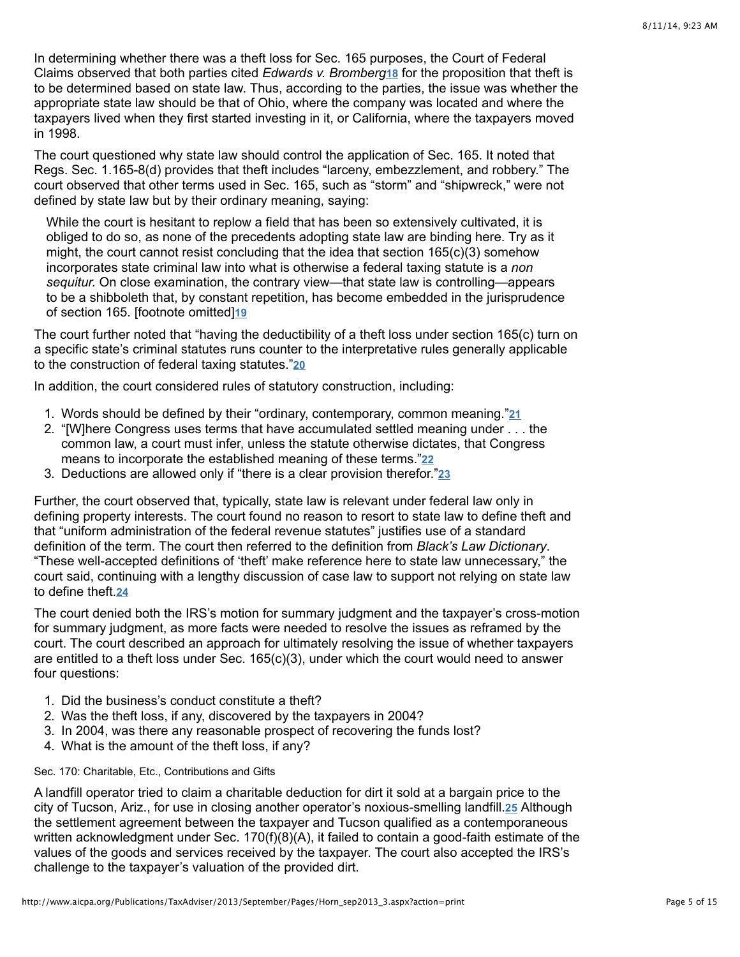In determining whether there was a theft loss for Sec. 165 purposes, the Court of Federal Claims observed that both parties cited *Edwards v. Bromberg* [18](http://www.aicpa.org/Publications/TaxAdviser/2013/September/Pages/Horn_sep2013_3.aspx?action=print#fn_18) for the proposition that theft is to be determined based on state law. Thus, according to the parties, the issue was whether the appropriate state law should be that of Ohio, where the company was located and where the taxpayers lived when they first started investing in it, or California, where the taxpayers moved in 1998.

The court questioned why state law should control the application of Sec. 165. It noted that Regs. Sec. 1.165-8(d) provides that theft includes "larceny, embezzlement, and robbery." The court observed that other terms used in Sec. 165, such as "storm" and "shipwreck," were not defined by state law but by their ordinary meaning, saying:

While the court is hesitant to replow a field that has been so extensively cultivated, it is obliged to do so, as none of the precedents adopting state law are binding here. Try as it might, the court cannot resist concluding that the idea that section 165(c)(3) somehow incorporates state criminal law into what is otherwise a federal taxing statute is a *non sequitur.* On close examination, the contrary view—that state law is controlling—appears to be a shibboleth that, by constant repetition, has become embedded in the jurisprudence of section 165. [footnote omitted] **[19](http://www.aicpa.org/Publications/TaxAdviser/2013/September/Pages/Horn_sep2013_3.aspx?action=print#fn_19)**

The court further noted that "having the deductibility of a theft loss under section 165(c) turn on a specific state's criminal statutes runs counter to the interpretative rules generally applicable to the construction of federal taxing statutes." **[20](http://www.aicpa.org/Publications/TaxAdviser/2013/September/Pages/Horn_sep2013_3.aspx?action=print#fn_20)**

In addition, the court considered rules of statutory construction, including:

- 1. Words should be defined by their "ordinary, contemporary, common meaning." **[21](http://www.aicpa.org/Publications/TaxAdviser/2013/September/Pages/Horn_sep2013_3.aspx?action=print#fn_21)**
- 2. "[W]here Congress uses terms that have accumulated settled meaning under . . . the common law, a court must infer, unless the statute otherwise dictates, that Congress means to incorporate the established meaning of these terms." **[22](http://www.aicpa.org/Publications/TaxAdviser/2013/September/Pages/Horn_sep2013_3.aspx?action=print#fn_22)**
- 3. Deductions are allowed only if "there is a clear provision therefor." **[23](http://www.aicpa.org/Publications/TaxAdviser/2013/September/Pages/Horn_sep2013_3.aspx?action=print#fn_23)**

Further, the court observed that, typically, state law is relevant under federal law only in defining property interests. The court found no reason to resort to state law to define theft and that "uniform administration of the federal revenue statutes" justifies use of a standard definition of the term. The court then referred to the definition from *Black's Law Dictionary*. "These well-accepted definitions of 'theft' make reference here to state law unnecessary," the court said, continuing with a lengthy discussion of case law to support not relying on state law to define theft. **[24](http://www.aicpa.org/Publications/TaxAdviser/2013/September/Pages/Horn_sep2013_3.aspx?action=print#fn_24)**

The court denied both the IRS's motion for summary judgment and the taxpayer's cross-motion for summary judgment, as more facts were needed to resolve the issues as reframed by the court. The court described an approach for ultimately resolving the issue of whether taxpayers are entitled to a theft loss under Sec. 165(c)(3), under which the court would need to answer four questions:

- 1. Did the business's conduct constitute a theft?
- 2. Was the theft loss, if any, discovered by the taxpayers in 2004?
- 3. In 2004, was there any reasonable prospect of recovering the funds lost?
- 4. What is the amount of the theft loss, if any?

### Sec. 170: Charitable, Etc., Contributions and Gifts

A landfill operator tried to claim a charitable deduction for dirt it sold at a bargain price to the city of Tucson, Ariz., for use in closing another operator's noxious-smelling landfill.25 Although the settlement agreement between the taxpayer and Tucson qualified as a contemporaneous written acknowledgment under Sec. 170(f)(8)(A), it failed to contain a good-faith estimate of the values of the goods and services received by the taxpayer. The court also accepted the IRS's challenge to the taxpayer's valuation of the provided dirt.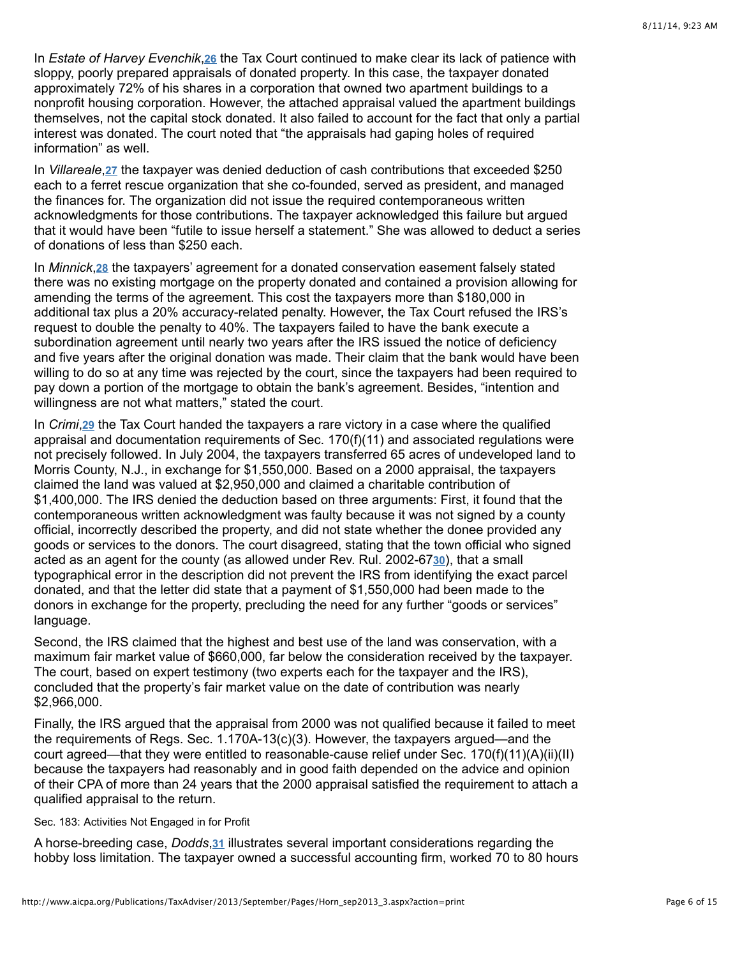In *Estate of Harvey Evenchik*,26 the Tax Court continued to make clear its lack of patience with sloppy, poorly prepared appraisals of donated property. In this case, the taxpayer donated approximately 72% of his shares in a corporation that owned two apartment buildings to a nonprofit housing corporation. However, the attached appraisal valued the apartment buildings themselves, not the capital stock donated. It also failed to account for the fact that only a partial interest was donated. The court noted that "the appraisals had gaping holes of required information" as well.

In Villareale[,](http://www.aicpa.org/Publications/TaxAdviser/2013/September/Pages/Horn_sep2013_3.aspx?action=print#fn_27) 27 the taxpayer was denied deduction of cash contributions that exceeded \$250 each to a ferret rescue organization that she co-founded, served as president, and managed the finances for. The organization did not issue the required contemporaneous written acknowledgments for those contributions. The taxpayer acknowledged this failure but argued that it would have been "futile to issue herself a statement." She was allowed to deduct a series of donations of less than \$250 each.

In Minnick,<sup>28</sup> the taxpayers' agreement for a donated conservation easement falsely stated there was no existing mortgage on the property donated and contained a provision allowing for amending the terms of the agreement. This cost the taxpayers more than \$180,000 in additional tax plus a 20% accuracy-related penalty. However, the Tax Court refused the IRS's request to double the penalty to 40%. The taxpayers failed to have the bank execute a subordination agreement until nearly two years after the IRS issued the notice of deficiency and five years after the original donation was made. Their claim that the bank would have been willing to do so at any time was rejected by the court, since the taxpayers had been required to pay down a portion of the mortgage to obtain the bank's agreement. Besides, "intention and willingness are not what matters," stated the court.

In *Crimi*[,](http://www.aicpa.org/Publications/TaxAdviser/2013/September/Pages/Horn_sep2013_3.aspx?action=print#fn_29) 29 the Tax Court handed the taxpayers a rare victory in a case where the qualified appraisal and documentation requirements of Sec. 170(f)(11) and associated regulations were not precisely followed. In July 2004, the taxpayers transferred 65 acres of undeveloped land to Morris County, N.J., in exchange for \$1,550,000. Based on a 2000 appraisal, the taxpayers claimed the land was valued at \$2,950,000 and claimed a charitable contribution of \$1,400,000. The IRS denied the deduction based on three arguments: First, it found that the contemporaneous written acknowledgment was faulty because it was not signed by a county official, incorrectly described the property, and did not state whether the donee provided any goods or services to the donors. The court disagreed, stating that the town official who signed acted as an agent for the county (as allowed under Rev. Rul. 2002-67[30](http://www.aicpa.org/Publications/TaxAdviser/2013/September/Pages/Horn_sep2013_3.aspx?action=print#fn_30)), that a small typographical error in the description did not prevent the IRS from identifying the exact parcel donated, and that the letter did state that a payment of \$1,550,000 had been made to the donors in exchange for the property, precluding the need for any further "goods or services" language.

Second, the IRS claimed that the highest and best use of the land was conservation, with a maximum fair market value of \$660,000, far below the consideration received by the taxpayer. The court, based on expert testimony (two experts each for the taxpayer and the IRS), concluded that the property's fair market value on the date of contribution was nearly \$2,966,000.

Finally, the IRS argued that the appraisal from 2000 was not qualified because it failed to meet the requirements of Regs. Sec. 1.170A-13(c)(3). However, the taxpayers argued—and the court agreed—that they were entitled to reasonable-cause relief under Sec. 170(f)(11)(A)(ii)(II) because the taxpayers had reasonably and in good faith depended on the advice and opinion of their CPA of more than 24 years that the 2000 appraisal satisfied the requirement to attach a qualified appraisal to the return.

#### Sec. 183: Activities Not Engaged in for Profit

A horse-breeding case[,](http://www.aicpa.org/Publications/TaxAdviser/2013/September/Pages/Horn_sep2013_3.aspx?action=print#fn_31) *Dodds*,31 illustrates several important considerations regarding the hobby loss limitation. The taxpayer owned a successful accounting firm, worked 70 to 80 hours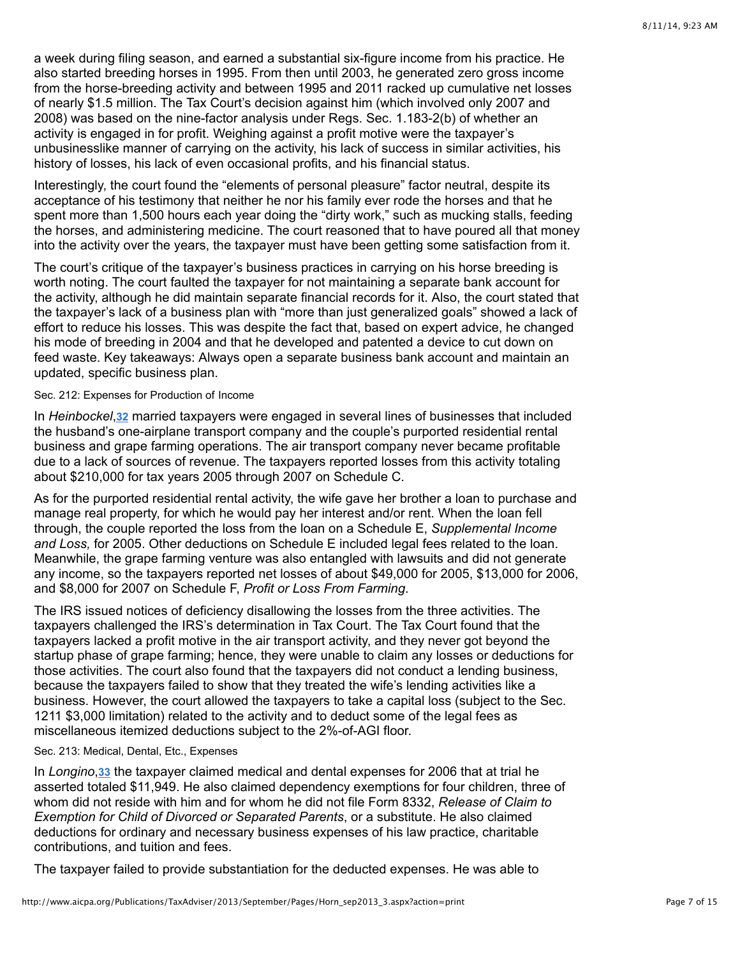a week during filing season, and earned a substantial six-figure income from his practice. He also started breeding horses in 1995. From then until 2003, he generated zero gross income from the horse-breeding activity and between 1995 and 2011 racked up cumulative net losses of nearly \$1.5 million. The Tax Court's decision against him (which involved only 2007 and 2008) was based on the nine-factor analysis under Regs. Sec. 1.183-2(b) of whether an activity is engaged in for profit. Weighing against a profit motive were the taxpayer's unbusinesslike manner of carrying on the activity, his lack of success in similar activities, his history of losses, his lack of even occasional profits, and his financial status.

Interestingly, the court found the "elements of personal pleasure" factor neutral, despite its acceptance of his testimony that neither he nor his family ever rode the horses and that he spent more than 1,500 hours each year doing the "dirty work," such as mucking stalls, feeding the horses, and administering medicine. The court reasoned that to have poured all that money into the activity over the years, the taxpayer must have been getting some satisfaction from it.

The court's critique of the taxpayer's business practices in carrying on his horse breeding is worth noting. The court faulted the taxpayer for not maintaining a separate bank account for the activity, although he did maintain separate financial records for it. Also, the court stated that the taxpayer's lack of a business plan with "more than just generalized goals" showed a lack of effort to reduce his losses. This was despite the fact that, based on expert advice, he changed his mode of breeding in 2004 and that he developed and patented a device to cut down on feed waste. Key takeaways: Always open a separate business bank account and maintain an updated, specific business plan.

### Sec. 212: Expenses for Production of Income

In Heinbockel, [32](http://www.aicpa.org/Publications/TaxAdviser/2013/September/Pages/Horn_sep2013_3.aspx?action=print#fn_32) married taxpayers were engaged in several lines of businesses that included the husband's one-airplane transport company and the couple's purported residential rental business and grape farming operations. The air transport company never became profitable due to a lack of sources of revenue. The taxpayers reported losses from this activity totaling about \$210,000 for tax years 2005 through 2007 on Schedule C.

As for the purported residential rental activity, the wife gave her brother a loan to purchase and manage real property, for which he would pay her interest and/or rent. When the loan fell through, the couple reported the loss from the loan on a Schedule E, *Supplemental Income and Loss,* for 2005. Other deductions on Schedule E included legal fees related to the loan. Meanwhile, the grape farming venture was also entangled with lawsuits and did not generate any income, so the taxpayers reported net losses of about \$49,000 for 2005, \$13,000 for 2006, and \$8,000 for 2007 on Schedule F, *Profit or Loss From Farming*.

The IRS issued notices of deficiency disallowing the losses from the three activities. The taxpayers challenged the IRS's determination in Tax Court. The Tax Court found that the taxpayers lacked a profit motive in the air transport activity, and they never got beyond the startup phase of grape farming; hence, they were unable to claim any losses or deductions for those activities. The court also found that the taxpayers did not conduct a lending business, because the taxpayers failed to show that they treated the wife's lending activities like a business. However, the court allowed the taxpayers to take a capital loss (subject to the Sec. 1211 \$3,000 limitation) related to the activity and to deduct some of the legal fees as miscellaneous itemized deductions subject to the 2%-of-AGI floor.

# Sec. 213: Medical, Dental, Etc., Expenses

In Longino[,](http://www.aicpa.org/Publications/TaxAdviser/2013/September/Pages/Horn_sep2013_3.aspx?action=print#fn_33) 33 the taxpayer claimed medical and dental expenses for 2006 that at trial he asserted totaled \$11,949. He also claimed dependency exemptions for four children, three of whom did not reside with him and for whom he did not file Form 8332, *Release of Claim to Exemption for Child of Divorced or Separated Parents*, or a substitute. He also claimed deductions for ordinary and necessary business expenses of his law practice, charitable contributions, and tuition and fees.

The taxpayer failed to provide substantiation for the deducted expenses. He was able to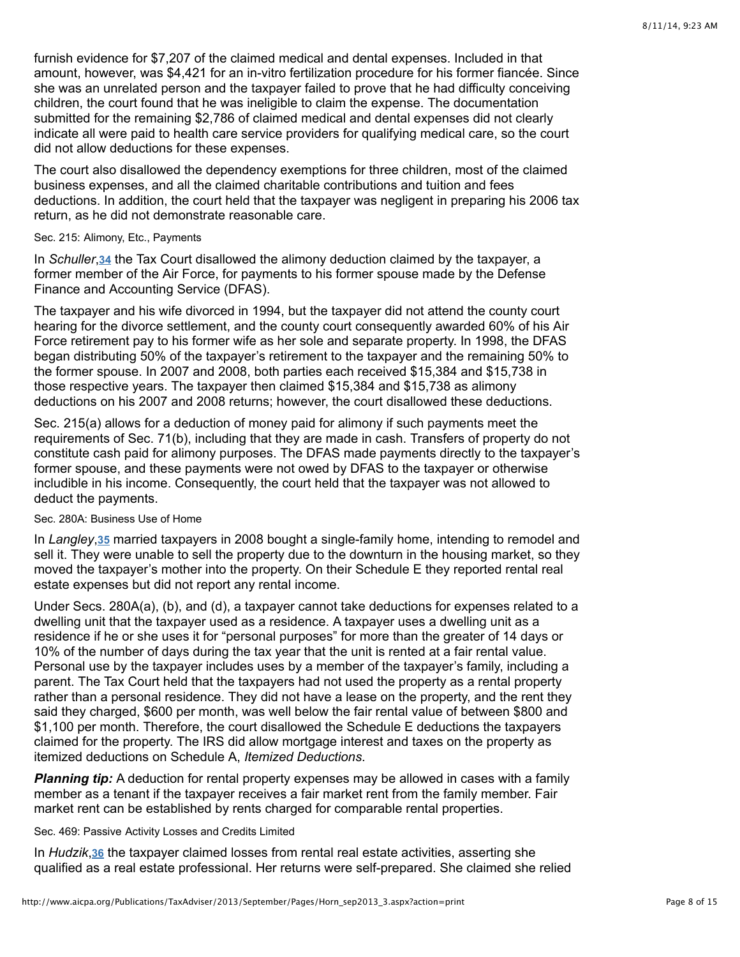furnish evidence for \$7,207 of the claimed medical and dental expenses. Included in that amount, however, was \$4,421 for an in-vitro fertilization procedure for his former fiancée. Since she was an unrelated person and the taxpayer failed to prove that he had difficulty conceiving children, the court found that he was ineligible to claim the expense. The documentation submitted for the remaining \$2,786 of claimed medical and dental expenses did not clearly indicate all were paid to health care service providers for qualifying medical care, so the court did not allow deductions for these expenses.

The court also disallowed the dependency exemptions for three children, most of the claimed business expenses, and all the claimed charitable contributions and tuition and fees deductions. In addition, the court held that the taxpayer was negligent in preparing his 2006 tax return, as he did not demonstrate reasonable care.

#### Sec. 215: Alimony, Etc., Payments

In Schuller, 34 the Tax Court disallowed the alimony deduction claimed by the taxpayer, a former member of the Air Force, for payments to his former spouse made by the Defense Finance and Accounting Service (DFAS).

The taxpayer and his wife divorced in 1994, but the taxpayer did not attend the county court hearing for the divorce settlement, and the county court consequently awarded 60% of his Air Force retirement pay to his former wife as her sole and separate property. In 1998, the DFAS began distributing 50% of the taxpayer's retirement to the taxpayer and the remaining 50% to the former spouse. In 2007 and 2008, both parties each received \$15,384 and \$15,738 in those respective years. The taxpayer then claimed \$15,384 and \$15,738 as alimony deductions on his 2007 and 2008 returns; however, the court disallowed these deductions.

Sec. 215(a) allows for a deduction of money paid for alimony if such payments meet the requirements of Sec. 71(b), including that they are made in cash. Transfers of property do not constitute cash paid for alimony purposes. The DFAS made payments directly to the taxpayer's former spouse, and these payments were not owed by DFAS to the taxpayer or otherwise includible in his income. Consequently, the court held that the taxpayer was not allowed to deduct the payments.

# Sec. 280A: Business Use of Home

In Langley[,](http://www.aicpa.org/Publications/TaxAdviser/2013/September/Pages/Horn_sep2013_3.aspx?action=print#fn_35) 35 married taxpayers in 2008 bought a single-family home, intending to remodel and sell it. They were unable to sell the property due to the downturn in the housing market, so they moved the taxpayer's mother into the property. On their Schedule E they reported rental real estate expenses but did not report any rental income.

Under Secs. 280A(a), (b), and (d), a taxpayer cannot take deductions for expenses related to a dwelling unit that the taxpayer used as a residence. A taxpayer uses a dwelling unit as a residence if he or she uses it for "personal purposes" for more than the greater of 14 days or 10% of the number of days during the tax year that the unit is rented at a fair rental value. Personal use by the taxpayer includes uses by a member of the taxpayer's family, including a parent. The Tax Court held that the taxpayers had not used the property as a rental property rather than a personal residence. They did not have a lease on the property, and the rent they said they charged, \$600 per month, was well below the fair rental value of between \$800 and \$1,100 per month. Therefore, the court disallowed the Schedule E deductions the taxpayers claimed for the property. The IRS did allow mortgage interest and taxes on the property as itemized deductions on Schedule A, *Itemized Deductions*.

**Planning tip:** A deduction for rental property expenses may be allowed in cases with a family member as a tenant if the taxpayer receives a fair market rent from the family member. Fair market rent can be established by rents charged for comparable rental properties.

### Sec. 469: Passive Activity Losses and Credits Limited

In Hudzik,<sup>36</sup> the taxpayer claimed losses from rental real estate activities, asserting she qualified as a real estate professional. Her returns were self-prepared. She claimed she relied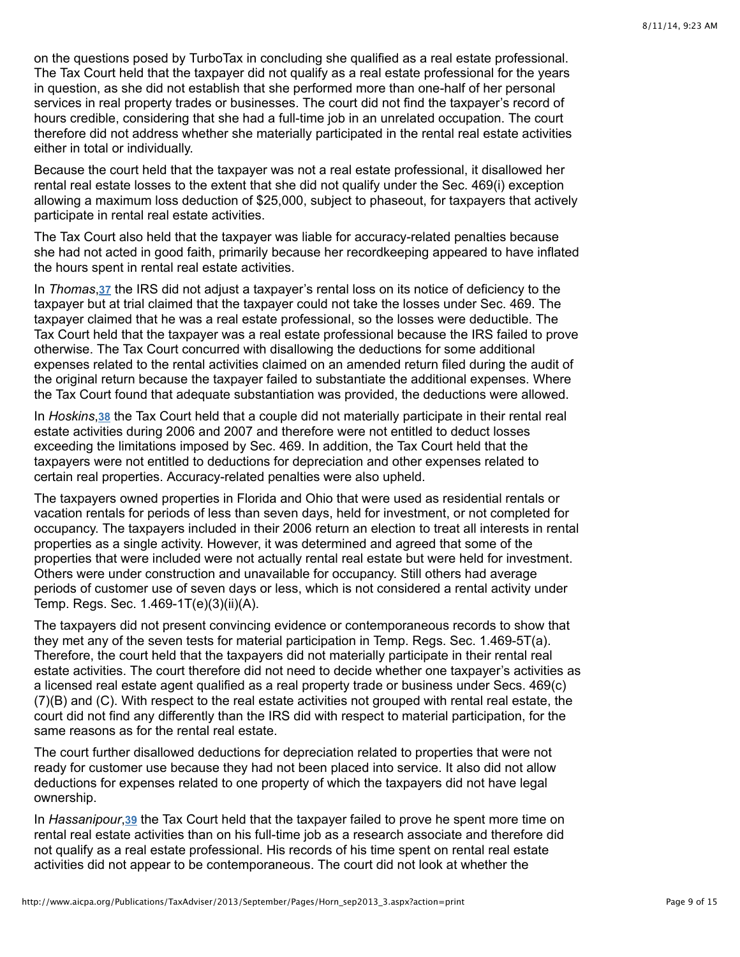on the questions posed by TurboTax in concluding she qualified as a real estate professional. The Tax Court held that the taxpayer did not qualify as a real estate professional for the years in question, as she did not establish that she performed more than one-half of her personal services in real property trades or businesses. The court did not find the taxpayer's record of hours credible, considering that she had a full-time job in an unrelated occupation. The court therefore did not address whether she materially participated in the rental real estate activities either in total or individually.

Because the court held that the taxpayer was not a real estate professional, it disallowed her rental real estate losses to the extent that she did not qualify under the Sec. 469(i) exception allowing a maximum loss deduction of \$25,000, subject to phaseout, for taxpayers that actively participate in rental real estate activities.

The Tax Court also held that the taxpayer was liable for accuracy-related penalties because she had not acted in good faith, primarily because her recordkeeping appeared to have inflated the hours spent in rental real estate activities.

In Thomas, 37 the IRS did not adjust a taxpayer's rental loss on its notice of deficiency to the taxpayer but at trial claimed that the taxpayer could not take the losses under Sec. 469. The taxpayer claimed that he was a real estate professional, so the losses were deductible. The Tax Court held that the taxpayer was a real estate professional because the IRS failed to prove otherwise. The Tax Court concurred with disallowing the deductions for some additional expenses related to the rental activities claimed on an amended return filed during the audit of the original return because the taxpayer failed to substantiate the additional expenses. Where the Tax Court found that adequate substantiation was provided, the deductions were allowed.

In Hoskins[,](http://www.aicpa.org/Publications/TaxAdviser/2013/September/Pages/Horn_sep2013_3.aspx?action=print#fn_38) 38 the Tax Court held that a couple did not materially participate in their rental real estate activities during 2006 and 2007 and therefore were not entitled to deduct losses exceeding the limitations imposed by Sec. 469. In addition, the Tax Court held that the taxpayers were not entitled to deductions for depreciation and other expenses related to certain real properties. Accuracy-related penalties were also upheld.

The taxpayers owned properties in Florida and Ohio that were used as residential rentals or vacation rentals for periods of less than seven days, held for investment, or not completed for occupancy. The taxpayers included in their 2006 return an election to treat all interests in rental properties as a single activity. However, it was determined and agreed that some of the properties that were included were not actually rental real estate but were held for investment. Others were under construction and unavailable for occupancy. Still others had average periods of customer use of seven days or less, which is not considered a rental activity under Temp. Regs. Sec. 1.469-1T(e)(3)(ii)(A).

The taxpayers did not present convincing evidence or contemporaneous records to show that they met any of the seven tests for material participation in Temp. Regs. Sec. 1.469-5T(a). Therefore, the court held that the taxpayers did not materially participate in their rental real estate activities. The court therefore did not need to decide whether one taxpayer's activities as a licensed real estate agent qualified as a real property trade or business under Secs. 469(c) (7)(B) and (C). With respect to the real estate activities not grouped with rental real estate, the court did not find any differently than the IRS did with respect to material participation, for the same reasons as for the rental real estate.

The court further disallowed deductions for depreciation related to properties that were not ready for customer use because they had not been placed into service. It also did not allow deductions for expenses related to one property of which the taxpayers did not have legal ownership.

In Hassanipour[,](http://www.aicpa.org/Publications/TaxAdviser/2013/September/Pages/Horn_sep2013_3.aspx?action=print#fn_39) 39 the Tax Court held that the taxpayer failed to prove he spent more time on rental real estate activities than on his full-time job as a research associate and therefore did not qualify as a real estate professional. His records of his time spent on rental real estate activities did not appear to be contemporaneous. The court did not look at whether the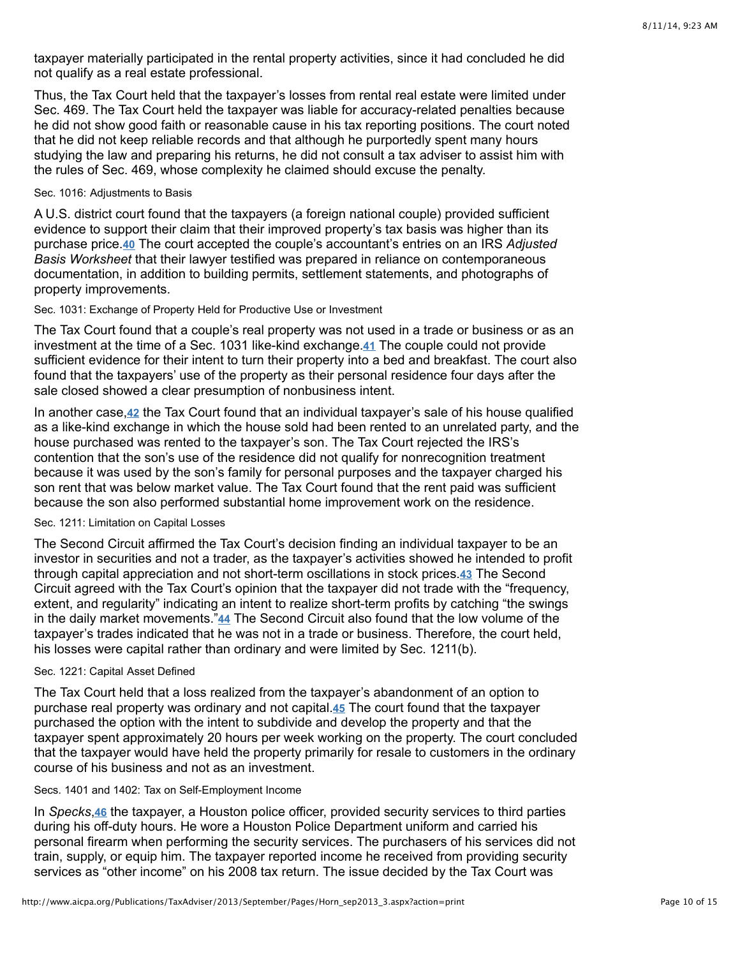taxpayer materially participated in the rental property activities, since it had concluded he did not qualify as a real estate professional.

Thus, the Tax Court held that the taxpayer's losses from rental real estate were limited under Sec. 469. The Tax Court held the taxpayer was liable for accuracy-related penalties because he did not show good faith or reasonable cause in his tax reporting positions. The court noted that he did not keep reliable records and that although he purportedly spent many hours studying the law and preparing his returns, he did not consult a tax adviser to assist him with the rules of Sec. 469, whose complexity he claimed should excuse the penalty.

# Sec. 1016: Adjustments to Basis

A U.S. district court found that the taxpayers (a foreign national couple) provided sufficient evidence to support their claim that their improved property's tax basis was higher than its purchase price.40 The court accepted the couple's accountant's entries on an IRS Adjusted *Basis Worksheet* that their lawyer testified was prepared in reliance on contemporaneous documentation, in addition to building permits, settlement statements, and photographs of property improvements.

#### Sec. 1031: Exchange of Property Held for Productive Use or Investment

The Tax Court found that a couple's real property was not used in a trade or business or as an investment at the time of a Sec[.](http://www.aicpa.org/Publications/TaxAdviser/2013/September/Pages/Horn_sep2013_3.aspx?action=print#fn_41) 1031 like-kind exchange.41 The couple could not provide sufficient evidence for their intent to turn their property into a bed and breakfast. The court also found that the taxpayers' use of the property as their personal residence four days after the sale closed showed a clear presumption of nonbusiness intent.

In another case[,](http://www.aicpa.org/Publications/TaxAdviser/2013/September/Pages/Horn_sep2013_3.aspx?action=print#fn_42) 42 the Tax Court found that an individual taxpayer's sale of his house qualified as a like-kind exchange in which the house sold had been rented to an unrelated party, and the house purchased was rented to the taxpayer's son. The Tax Court rejected the IRS's contention that the son's use of the residence did not qualify for nonrecognition treatment because it was used by the son's family for personal purposes and the taxpayer charged his son rent that was below market value. The Tax Court found that the rent paid was sufficient because the son also performed substantial home improvement work on the residence.

#### Sec. 1211: Limitation on Capital Losses

The Second Circuit affirmed the Tax Court's decision finding an individual taxpayer to be an investor in securities and not a trader, as the taxpayer's activities showed he intended to profit throughcapital appreciation and not short-term oscillations in stock prices.43 The Second Circuit agreed with the Tax Court's opinion that the taxpayer did not trade with the "frequency, extent, and regularity" indicating an intent to realize short-term profits by catching "the swings in the daily market movements."<sup>44</sup> The Second Circuit also found that the low volume of the taxpayer's trades indicated that he was not in a trade or business. Therefore, the court held, his losses were capital rather than ordinary and were limited by Sec. 1211(b).

# Sec. 1221: Capital Asset Defined

The Tax Court held that a loss realized from the taxpayer's abandonment of an option to purchase real property was ordinary and not capital.<sup>45</sup> The court found that the taxpayer purchased the option with the intent to subdivide and develop the property and that the taxpayer spent approximately 20 hours per week working on the property. The court concluded that the taxpayer would have held the property primarily for resale to customers in the ordinary course of his business and not as an investment.

#### Secs. 1401 and 1402: Tax on Self-Employment Income

In Specks[,](http://www.aicpa.org/Publications/TaxAdviser/2013/September/Pages/Horn_sep2013_3.aspx?action=print#fn_46) 46 the taxpayer, a Houston police officer, provided security services to third parties during his off-duty hours. He wore a Houston Police Department uniform and carried his personal firearm when performing the security services. The purchasers of his services did not train, supply, or equip him. The taxpayer reported income he received from providing security services as "other income" on his 2008 tax return. The issue decided by the Tax Court was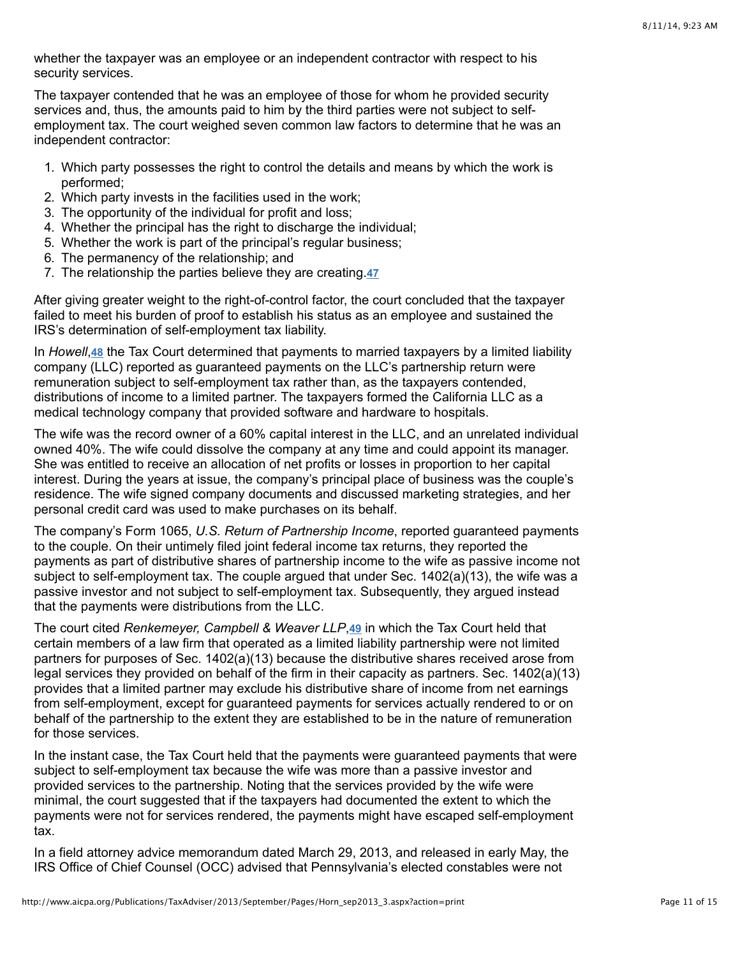whether the taxpayer was an employee or an independent contractor with respect to his security services.

The taxpayer contended that he was an employee of those for whom he provided security services and, thus, the amounts paid to him by the third parties were not subject to selfemployment tax. The court weighed seven common law factors to determine that he was an independent contractor:

- 1. Which party possesses the right to control the details and means by which the work is performed;
- 2. Which party invests in the facilities used in the work;
- 3. The opportunity of the individual for profit and loss;
- 4. Whether the principal has the right to discharge the individual;
- 5. Whether the work is part of the principal's regular business;
- 6. The permanency of the relationship; and
- 7. The relationship the parties believe they are creating. **[47](http://www.aicpa.org/Publications/TaxAdviser/2013/September/Pages/Horn_sep2013_3.aspx?action=print#fn_47)**

After giving greater weight to the right-of-control factor, the court concluded that the taxpayer failed to meet his burden of proof to establish his status as an employee and sustained the IRS's determination of self-employment tax liability.

In Howell[,](http://www.aicpa.org/Publications/TaxAdviser/2013/September/Pages/Horn_sep2013_3.aspx?action=print#fn_48) 48 the Tax Court determined that payments to married taxpayers by a limited liability company (LLC) reported as guaranteed payments on the LLC's partnership return were remuneration subject to self-employment tax rather than, as the taxpayers contended, distributions of income to a limited partner. The taxpayers formed the California LLC as a medical technology company that provided software and hardware to hospitals.

The wife was the record owner of a 60% capital interest in the LLC, and an unrelated individual owned 40%. The wife could dissolve the company at any time and could appoint its manager. She was entitled to receive an allocation of net profits or losses in proportion to her capital interest. During the years at issue, the company's principal place of business was the couple's residence. The wife signed company documents and discussed marketing strategies, and her personal credit card was used to make purchases on its behalf.

The company's Form 1065, *U.S. Return of Partnership Income*, reported guaranteed payments to the couple. On their untimely filed joint federal income tax returns, they reported the payments as part of distributive shares of partnership income to the wife as passive income not subject to self-employment tax. The couple argued that under Sec. 1402(a)(13), the wife was a passive investor and not subject to self-employment tax. Subsequently, they argued instead that the payments were distributions from the LLC.

The court cited *Renkemeyer[,](http://www.aicpa.org/Publications/TaxAdviser/2013/September/Pages/Horn_sep2013_3.aspx?action=print#fn_49) Campbell & Weaver LLP*,49 in which the Tax Court held that certain members of a law firm that operated as a limited liability partnership were not limited partners for purposes of Sec. 1402(a)(13) because the distributive shares received arose from legal services they provided on behalf of the firm in their capacity as partners. Sec. 1402(a)(13) provides that a limited partner may exclude his distributive share of income from net earnings from self-employment, except for guaranteed payments for services actually rendered to or on behalf of the partnership to the extent they are established to be in the nature of remuneration for those services.

In the instant case, the Tax Court held that the payments were guaranteed payments that were subject to self-employment tax because the wife was more than a passive investor and provided services to the partnership. Noting that the services provided by the wife were minimal, the court suggested that if the taxpayers had documented the extent to which the payments were not for services rendered, the payments might have escaped self-employment tax.

In a field attorney advice memorandum dated March 29, 2013, and released in early May, the IRS Office of Chief Counsel (OCC) advised that Pennsylvania's elected constables were not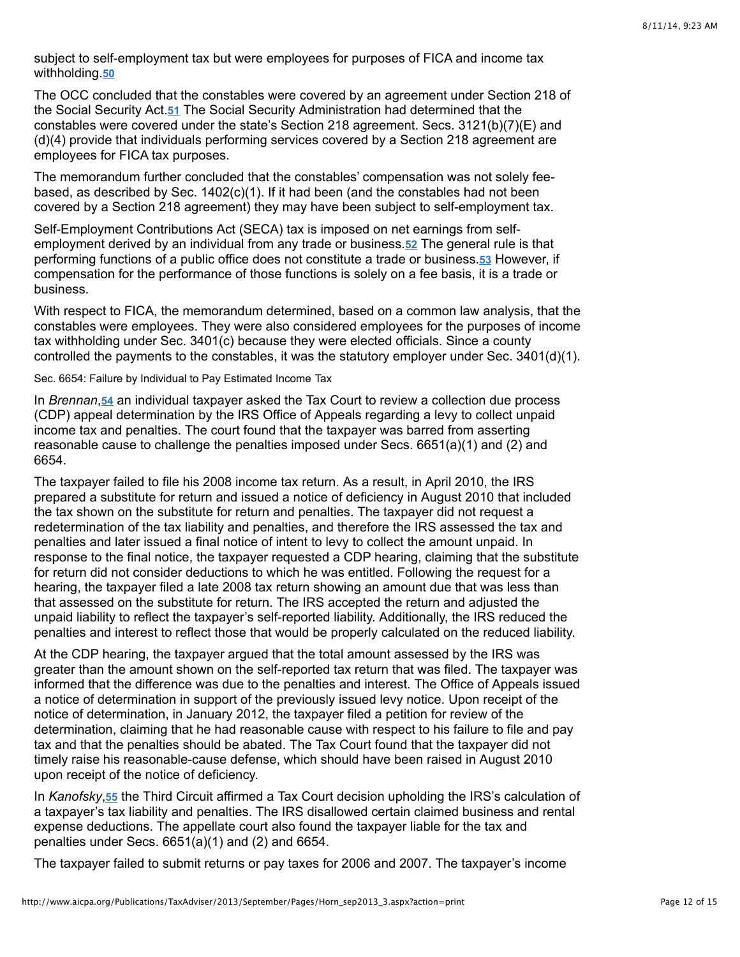subject to self-employment tax but were employees for purposes of FICA and income tax withholding. **[50](http://www.aicpa.org/Publications/TaxAdviser/2013/September/Pages/Horn_sep2013_3.aspx?action=print#fn_50)**

The OCC concluded that the constables were covered by an agreement under Section 218 of theSocial Security Act.<sup>51</sup> The Social Security Administration had determined that the constables were covered under the state's Section 218 agreement. Secs.  $3121(b)(7)(E)$  and (d)(4) provide that individuals performing services covered by a Section 218 agreement are employees for FICA tax purposes.

The memorandum further concluded that the constables' compensation was not solely feebased, as described by Sec. 1402(c)(1). If it had been (and the constables had not been covered by a Section 218 agreement) they may have been subject to self-employment tax.

Self-Employment Contributions Act (SECA) tax is imposed on net earnings from selfemployment derived by an individual from any trade or business.**52** The general rule is that performingfunctions of a public office does not constitute a trade or business.**53** However, if compensation for the performance of those functions is solely on a fee basis, it is a trade or business.

With respect to FICA, the memorandum determined, based on a common law analysis, that the constables were employees. They were also considered employees for the purposes of income tax withholding under Sec. 3401(c) because they were elected officials. Since a county controlled the payments to the constables, it was the statutory employer under Sec. 3401(d)(1).

Sec. 6654: Failure by Individual to Pay Estimated Income Tax

In*Brennan, 54* an individual taxpayer asked the Tax Court to review a collection due process (CDP) appeal determination by the IRS Office of Appeals regarding a levy to collect unpaid income tax and penalties. The court found that the taxpayer was barred from asserting reasonable cause to challenge the penalties imposed under Secs. 6651(a)(1) and (2) and 6654.

The taxpayer failed to file his 2008 income tax return. As a result, in April 2010, the IRS prepared a substitute for return and issued a notice of deficiency in August 2010 that included the tax shown on the substitute for return and penalties. The taxpayer did not request a redetermination of the tax liability and penalties, and therefore the IRS assessed the tax and penalties and later issued a final notice of intent to levy to collect the amount unpaid. In response to the final notice, the taxpayer requested a CDP hearing, claiming that the substitute for return did not consider deductions to which he was entitled. Following the request for a hearing, the taxpayer filed a late 2008 tax return showing an amount due that was less than that assessed on the substitute for return. The IRS accepted the return and adjusted the unpaid liability to reflect the taxpayer's self-reported liability. Additionally, the IRS reduced the penalties and interest to reflect those that would be properly calculated on the reduced liability.

At the CDP hearing, the taxpayer argued that the total amount assessed by the IRS was greater than the amount shown on the self-reported tax return that was filed. The taxpayer was informed that the difference was due to the penalties and interest. The Office of Appeals issued a notice of determination in support of the previously issued levy notice. Upon receipt of the notice of determination, in January 2012, the taxpayer filed a petition for review of the determination, claiming that he had reasonable cause with respect to his failure to file and pay tax and that the penalties should be abated. The Tax Court found that the taxpayer did not timely raise his reasonable-cause defense, which should have been raised in August 2010 upon receipt of the notice of deficiency.

In Kanofsky, [55](http://www.aicpa.org/Publications/TaxAdviser/2013/September/Pages/Horn_sep2013_3.aspx?action=print#fn_55) the Third Circuit affirmed a Tax Court decision upholding the IRS's calculation of a taxpayer's tax liability and penalties. The IRS disallowed certain claimed business and rental expense deductions. The appellate court also found the taxpayer liable for the tax and penalties under Secs. 6651(a)(1) and (2) and 6654.

The taxpayer failed to submit returns or pay taxes for 2006 and 2007. The taxpayer's income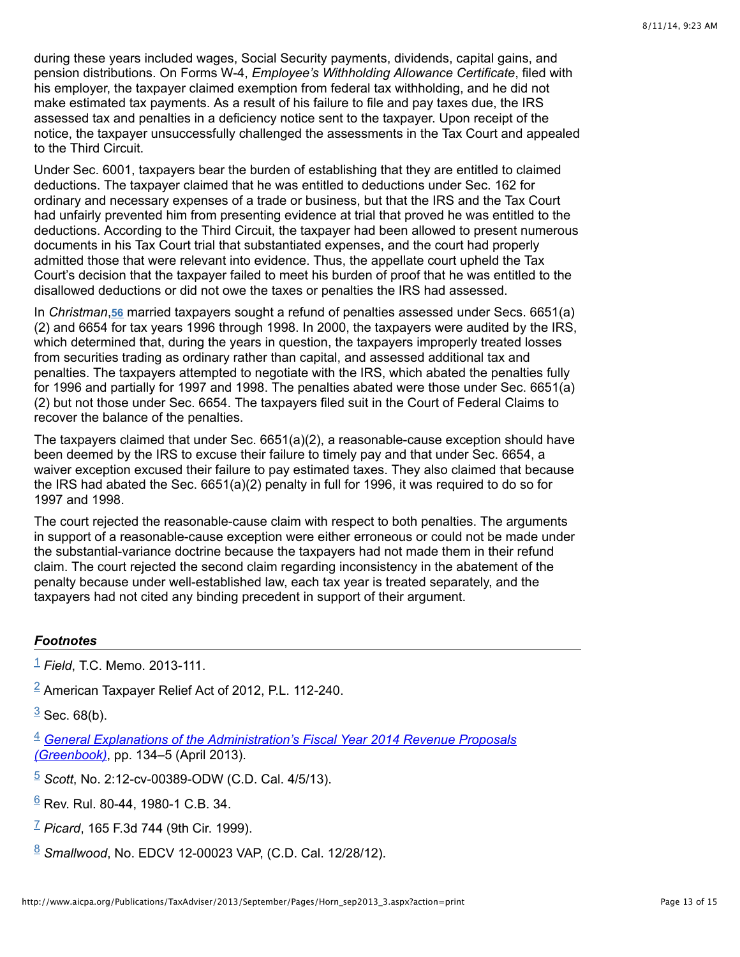during these years included wages, Social Security payments, dividends, capital gains, and pension distributions. On Forms W-4, *Employee's Withholding Allowance Certificate*, filed with his employer, the taxpayer claimed exemption from federal tax withholding, and he did not make estimated tax payments. As a result of his failure to file and pay taxes due, the IRS assessed tax and penalties in a deficiency notice sent to the taxpayer. Upon receipt of the notice, the taxpayer unsuccessfully challenged the assessments in the Tax Court and appealed to the Third Circuit.

Under Sec. 6001, taxpayers bear the burden of establishing that they are entitled to claimed deductions. The taxpayer claimed that he was entitled to deductions under Sec. 162 for ordinary and necessary expenses of a trade or business, but that the IRS and the Tax Court had unfairly prevented him from presenting evidence at trial that proved he was entitled to the deductions. According to the Third Circuit, the taxpayer had been allowed to present numerous documents in his Tax Court trial that substantiated expenses, and the court had properly admitted those that were relevant into evidence. Thus, the appellate court upheld the Tax Court's decision that the taxpayer failed to meet his burden of proof that he was entitled to the disallowed deductions or did not owe the taxes or penalties the IRS had assessed.

In *Christman*[,](http://www.aicpa.org/Publications/TaxAdviser/2013/September/Pages/Horn_sep2013_3.aspx?action=print#fn_56) 56 married taxpayers sought a refund of penalties assessed under Secs. 6651(a) (2) and 6654 for tax years 1996 through 1998. In 2000, the taxpayers were audited by the IRS, which determined that, during the years in question, the taxpayers improperly treated losses from securities trading as ordinary rather than capital, and assessed additional tax and penalties. The taxpayers attempted to negotiate with the IRS, which abated the penalties fully for 1996 and partially for 1997 and 1998. The penalties abated were those under Sec. 6651(a) (2) but not those under Sec. 6654. The taxpayers filed suit in the Court of Federal Claims to recover the balance of the penalties.

The taxpayers claimed that under Sec. 6651(a)(2), a reasonable-cause exception should have been deemed by the IRS to excuse their failure to timely pay and that under Sec. 6654, a waiver exception excused their failure to pay estimated taxes. They also claimed that because the IRS had abated the Sec.  $6651(a)(2)$  penalty in full for 1996, it was required to do so for 1997 and 1998.

The court rejected the reasonable-cause claim with respect to both penalties. The arguments in support of a reasonable-cause exception were either erroneous or could not be made under the substantial-variance doctrine because the taxpayers had not made them in their refund claim. The court rejected the second claim regarding inconsistency in the abatement of the penalty because under well-established law, each tax year is treated separately, and the taxpayers had not cited any binding precedent in support of their argument.

# *Footnotes*

*Field*, T.C. Memo. 2013-111. [1](http://www.aicpa.org/Publications/TaxAdviser/2013/September/Pages/Horn_sep2013_3.aspx?action=print#fnref_1)

 $2$  American Taxpayer Relief Act of 2012, P.L. 112-240.

 $\frac{3}{5}$  $\frac{3}{5}$  $\frac{3}{5}$  Sec. 68(b).

*(Greenbook)*, pp. 134–5 (April 2013). [4](http://www.aicpa.org/Publications/TaxAdviser/2013/September/Pages/Horn_sep2013_3.aspx?action=print#fnref_4) *[General Explanations of the Administration's Fiscal Year 2014 Revenue Proposals](http://www.treasury.gov/resource-center/tax-policy/Pages/general_explanation.aspx)*

*Scott*, No. 2:12-cv-00389-ODW (C.D. Cal. 4/5/13). [5](http://www.aicpa.org/Publications/TaxAdviser/2013/September/Pages/Horn_sep2013_3.aspx?action=print#fnref_5)

<u><sup>[6](http://www.aicpa.org/Publications/TaxAdviser/2013/September/Pages/Horn_sep2013_3.aspx?action=print#fnref_6)</sup> Rev. Rul. 80-44, 1980-1 C.B. 34.</u>

<sup>Z</sup> *Picard*, 165 F.3d [7](http://www.aicpa.org/Publications/TaxAdviser/2013/September/Pages/Horn_sep2013_3.aspx?action=print#fnref_7)44 (9th Cir. 1999).

*Smallwood*, No. EDCV 12-00023 VAP, (C.D. Cal. 12/28/12). [8](http://www.aicpa.org/Publications/TaxAdviser/2013/September/Pages/Horn_sep2013_3.aspx?action=print#fnref_8)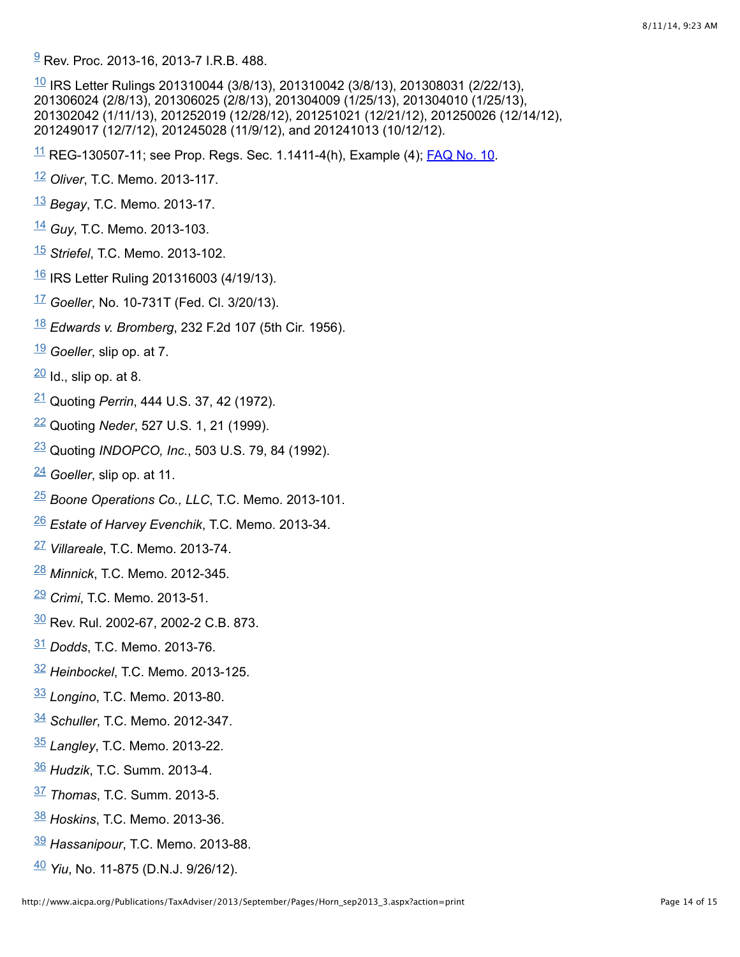$\frac{9}{2}$  $\frac{9}{2}$  $\frac{9}{2}$ Rev. Proc. 2013-16, 2013-7 I.R.B. 488.

 $\frac{10}{10}$  $\frac{10}{10}$  $\frac{10}{10}$  IRS Letter Rulings 201310044 (3/8/13), 201310042 (3/8/13), 201308031 (2/22/13), 201306024 (2/8/13), 201306025 (2/8/13), 201304009 (1/25/13), 201304010 (1/25/13), 201302042 (1/11/13), 201252019 (12/28/12), 201251021 (12/21/12), 201250026 (12/14/12), 201249017 (12/7/12), 201245028 (11/9/12), and 201241013 (10/12/12).

 $\frac{11}{1}$  $\frac{11}{1}$  $\frac{11}{1}$  REG-130507-11; see Prop. Regs. Sec. 1.1411-4(h), Example (4); **FAQ No. 10.** 

- Oliver, T.C. Memo. 2013-117.
- *Begay*, T.C. Memo. 2013-17.
- Guy, T.C. Memo. 2013-103.
- *Striefel*, T.C. Memo. 2013-102.
- IRS Letter Ruling 201316003 (4/19/13).
- *Goeller*, No. 10-731T (Fed. Cl. 3/20/13).
- *Edwards v. Bromberg*, 232 F.2d 107 (5th Cir. 1956).
- *Goeller*, slip op. at 7.
- $\frac{20}{1}$  $\frac{20}{1}$  $\frac{20}{1}$ Id., slip op. at 8.
- <sup>[21](http://www.aicpa.org/Publications/TaxAdviser/2013/September/Pages/Horn_sep2013_3.aspx?action=print#fnref_21)</sup> Quoting *Perrin*, 444 U.S. 37, 42 (1972).
- <sup>[22](http://www.aicpa.org/Publications/TaxAdviser/2013/September/Pages/Horn_sep2013_3.aspx?action=print#fnref_22)</sup> Quoting Neder, 527 U.S. 1, 21 (1999).
- Quoting *INDOPCO, Inc.*, 503 U.S. 79, 84 (1992).
- *Goeller*, slip op. at 11.
- Boone Operations Co., LLC, T.C. Memo. 2013-101.
- *Estate of Harvey Evenchik*, T.C. Memo. 2013-34.
- <sup>[27](http://www.aicpa.org/Publications/TaxAdviser/2013/September/Pages/Horn_sep2013_3.aspx?action=print#fnref_27)</sup> Villareale, T.C. Memo. 2013-74.
- *Minnick*, T.C. Memo. 2012-345.
- *Crimi*, T.C. Memo. 2013-51.
- Rev. Rul. 2002-67, 2002-2 C.B. 873.
- *Dodds*, T.C. Memo. 2013-76.
- *Heinbockel*, T.C. Memo. 2013-125.
- *Longino*, T.C. Memo. 2013-80.
- *Schuller*, T.C. Memo. 2012-347.
- *Langley*, T.C. Memo. 2013-22.
- *Hudzik*, T.C. Summ. 2013-4.
- *Thomas*, T.C. Summ. 2013-5.
- *Hoskins*, T.C. Memo. 2013-36.
- *Hassanipour*, T.C. Memo. 2013-88.
- *Yiu*, No. 11-875 (D.N.J. 9/26/12).